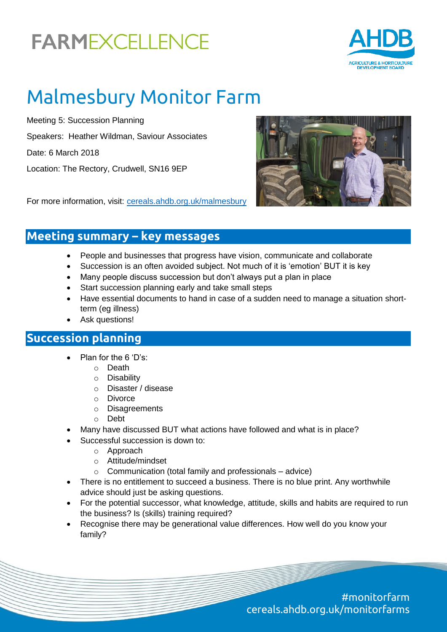# **FARMEXCELLENCE**



### Malmesbury Monitor Farm

Meeting 5: Succession Planning Speakers: Heather Wildman, Saviour Associates Date: 6 March 2018 Location: The Rectory, Crudwell, SN16 9EP



For more information, visit: [cereals.ahdb.org.uk/malmesbury](https://cereals.ahdb.org.uk/malmesbury)

### **Meeting summary – key messages**

- People and businesses that progress have vision, communicate and collaborate
- Succession is an often avoided subject. Not much of it is 'emotion' BUT it is key
- Many people discuss succession but don't always put a plan in place
- Start succession planning early and take small steps
- Have essential documents to hand in case of a sudden need to manage a situation shortterm (eg illness)
- Ask questions!

### **Succession planning**

- Plan for the 6 'D's:
	- o Death
	- o Disability
	- o Disaster / disease
	- o Divorce
	- o Disagreements
	- o Debt
- Many have discussed BUT what actions have followed and what is in place?
- Successful succession is down to:
	- o Approach
	- o Attitude/mindset
	- $\circ$  Communication (total family and professionals advice)
- There is no entitlement to succeed a business. There is no blue print. Any worthwhile advice should just be asking questions.
- For the potential successor, what knowledge, attitude, skills and habits are required to run the business? Is (skills) training required?
- Recognise there may be generational value differences. How well do you know your family?

#monitorfarm cereals.ahdb.org.uk/monitorfarms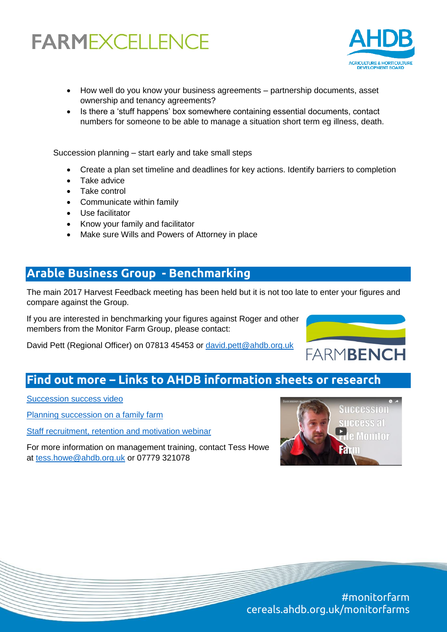## **FARMEXCELLENCE**



- How well do you know your business agreements partnership documents, asset ownership and tenancy agreements?
- Is there a 'stuff happens' box somewhere containing essential documents, contact numbers for someone to be able to manage a situation short term eg illness, death.

Succession planning – start early and take small steps

- Create a plan set timeline and deadlines for key actions. Identify barriers to completion
- Take advice
- Take control
- Communicate within family
- Use facilitator
- Know your family and facilitator
- Make sure Wills and Powers of Attorney in place

### **Arable Business Group - Benchmarking**

The main 2017 Harvest Feedback meeting has been held but it is not too late to enter your figures and compare against the Group.

If you are interested in benchmarking your figures against Roger and other members from the Monitor Farm Group, please contact:

David Pett (Regional Officer) on 07813 45453 or [david.pett@ahdb.org.uk](mailto:david.pett@ahdb.org.uk)



[Succession success video](https://www.youtube.com/watch?v=h72ufzHYQC0)

[Planning succession on a family farm](https://www.youtube.com/watch?v=2J8aVS1XREY)

[Staff recruitment, retention and motivation webinar](https://www.youtube.com/watch?v=aOjg-d7ksfE)

For more information on management training, contact Tess Howe at [tess.howe@ahdb.org.uk](mailto:tess.howe@ahdb.org.uk) or 07779 321078



**FARMBENCH** 

#monitorfarm cereals.ahdb.org.uk/monitorfarms